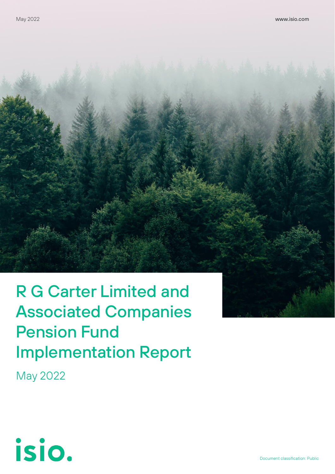# R G Carter Limited and **Associated Companies Pension Fund Implementation Report**

May 2022

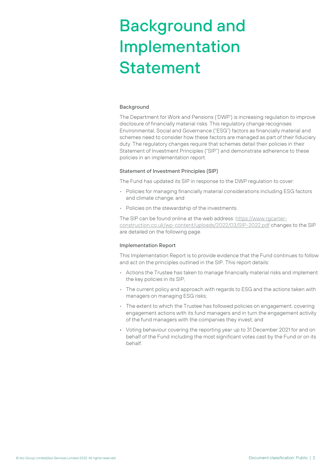# Background and Implementation **Statement**

#### **Background**

The Department for Work and Pensions ('DWP') is increasing regulation to improve disclosure of financially material risks. This regulatory change recognises Environmental, Social and Governance ("ESG") factors as financially material and schemes need to consider how these factors are managed as part of their fiduciary duty. The regulatory changes require that schemes detail their policies in their Statement of Investment Principles ("SIP") and demonstrate adherence to these policies in an implementation report.

#### Statement of Investment Principles (SIP)

The Fund has updated its SIP in response to the DWP regulation to cover:

- Policies for managing financially material considerations including ESG factors and climate change; and
- Policies on the stewardship of the investments.

The SIP can be found online at the web address: [https://www.rgcarter](https://www.rgcarter-construction.co.uk/wp-content/uploads/2022/03/SIP-2022.pdf)[construction.co.uk/wp-content/uploads/2022/03/SIP-2022.pdf](https://www.rgcarter-construction.co.uk/wp-content/uploads/2022/03/SIP-2022.pdf) changes to the SIP are detailed on the following page.

#### Implementation Report

This Implementation Report is to provide evidence that the Fund continues to follow and act on the principles outlined in the SIP. This report details:

- Actions the Trustee has taken to manage financially material risks and implement the key policies in its SIP;
- $\cdot$  The current policy and approach with regards to ESG and the actions taken with managers on managing ESG risks;
- The extent to which the Trustee has followed policies on engagement, covering engagement actions with its fund managers and in turn the engagement activity of the fund managers with the companies they invest; and
- Voting behaviour covering the reporting year up to 31 December 2021 for and on behalf of the Fund including the most significant votes cast by the Fund or on its behalf.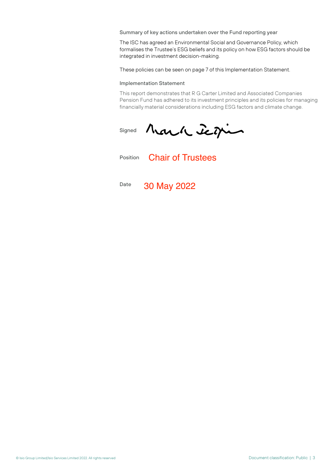Summary of key actions undertaken over the Fund reporting year

The ISC has agreed an Environmental Social and Governance Policy, which formalises the Trustee's ESG beliefs and its policy on how ESG factors should be integrated in investment decision-making.

These policies can be seen on page 7 of this Implementation Statement.

#### Implementation Statement

This report demonstrates that R G Carter Limited and Associated Companies Pension Fund has adhered to its investment principles and its policies for managing financially material considerations including ESG factors and climate change.

Mark Jegin Signed

Position Chair of Trustees

Date 30 May 2022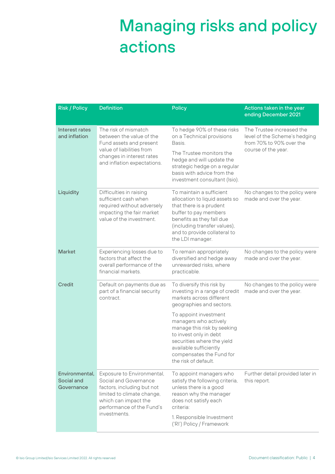## Managing risks and policy actions

| <b>Risk / Policy</b>                       | <b>Definition</b>                                                                                                                                                                    | <b>Policy</b>                                                                                                                                                                                                                   | Actions taken in the year<br>ending December 2021                                                             |
|--------------------------------------------|--------------------------------------------------------------------------------------------------------------------------------------------------------------------------------------|---------------------------------------------------------------------------------------------------------------------------------------------------------------------------------------------------------------------------------|---------------------------------------------------------------------------------------------------------------|
| Interest rates<br>and inflation            | The risk of mismatch<br>between the value of the<br>Fund assets and present<br>value of liabilities from<br>changes in interest rates<br>and inflation expectations.                 | To hedge 90% of these risks<br>on a Technical provisions<br>Basis.<br>The Trustee monitors the<br>hedge and will update the<br>strategic hedge on a regular<br>basis with advice from the<br>investment consultant (Isio).      | The Trustee increased the<br>level of the Scheme's hedging<br>from 70% to 90% over the<br>course of the year. |
| Liquidity                                  | Difficulties in raising<br>sufficient cash when<br>required without adversely<br>impacting the fair market<br>value of the investment.                                               | To maintain a sufficient<br>allocation to liquid assets so<br>that there is a prudent<br>buffer to pay members<br>benefits as they fall due<br>(including transfer values),<br>and to provide collateral to<br>the LDI manager. | No changes to the policy were<br>made and over the year.                                                      |
| <b>Market</b>                              | Experiencing losses due to<br>factors that affect the<br>overall performance of the<br>financial markets.                                                                            | To remain appropriately<br>diversified and hedge away<br>unrewarded risks, where<br>practicable.                                                                                                                                | No changes to the policy were<br>made and over the year.                                                      |
| <b>Credit</b>                              | Default on payments due as<br>part of a financial security<br>contract.                                                                                                              | To diversify this risk by<br>investing in a range of credit<br>markets across different<br>geographies and sectors.                                                                                                             | No changes to the policy were<br>made and over the year.                                                      |
|                                            |                                                                                                                                                                                      | To appoint investment<br>managers who actively<br>manage this risk by seeking<br>to invest only in debt<br>securities where the yield<br>available sufficiently<br>compensates the Fund for<br>the risk of default.             |                                                                                                               |
| Environmental.<br>Social and<br>Governance | Exposure to Environmental,<br>Social and Governance<br>factors, including but not<br>limited to climate change,<br>which can impact the<br>performance of the Fund's<br>investments. | To appoint managers who<br>satisfy the following criteria,<br>unless there is a good<br>reason why the manager<br>does not satisfy each<br>criteria:<br>1. Responsible Investment<br>('RI') Policy / Framework                  | Further detail provided later in<br>this report.                                                              |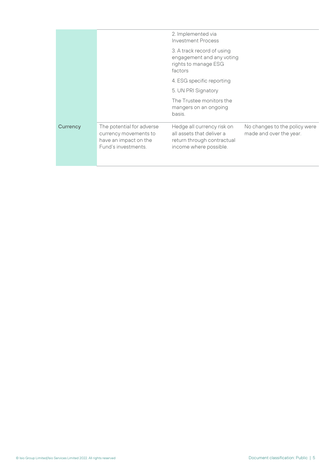|          |                                                                                                    | 2. Implemented via<br><b>Investment Process</b>                                                                 |                                                          |
|----------|----------------------------------------------------------------------------------------------------|-----------------------------------------------------------------------------------------------------------------|----------------------------------------------------------|
|          |                                                                                                    | 3. A track record of using<br>engagement and any voting<br>rights to manage ESG<br>factors                      |                                                          |
|          |                                                                                                    | 4. ESG specific reporting                                                                                       |                                                          |
|          |                                                                                                    | 5. UN PRI Signatory                                                                                             |                                                          |
|          |                                                                                                    | The Trustee monitors the<br>mangers on an ongoing<br>basis.                                                     |                                                          |
| Currency | The potential for adverse<br>currency movements to<br>have an impact on the<br>Fund's investments. | Hedge all currency risk on<br>all assets that deliver a<br>return through contractual<br>income where possible. | No changes to the policy were<br>made and over the year. |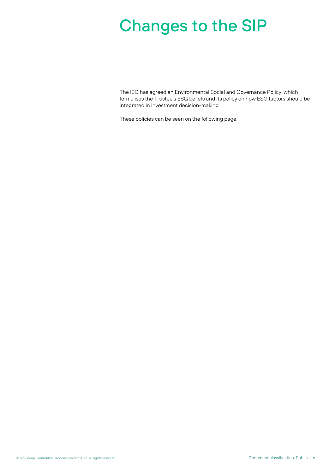## Changes to the SIP

The ISC has agreed an Environmental Social and Governance Policy, which formalises the Trustee's ESG beliefs and its policy on how ESG factors should be integrated in investment decision-making.

These policies can be seen on the following page.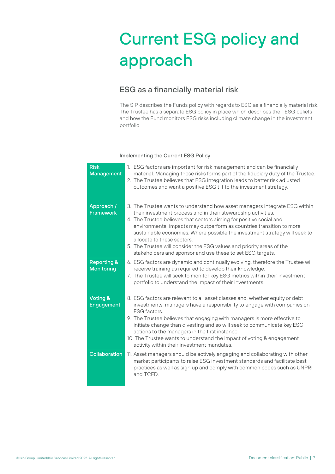# Current ESG policy and approach

### ESG as a financially material risk

The SIP describes the Funds policy with regards to ESG as a financially material risk. The Trustee has a separate ESG policy in place which describes their ESG beliefs and how the Fund monitors ESG risks including climate change in the investment portfolio.

### Implementing the Current ESG Policy

| <b>Risk</b><br><b>Management</b>            | 1. ESG factors are important for risk management and can be financially<br>material. Managing these risks forms part of the fiduciary duty of the Trustee.<br>2. The Trustee believes that ESG integration leads to better risk adjusted<br>outcomes and want a positive ESG tilt to the investment strategy.                                                                                                                                                                                                                                |
|---------------------------------------------|----------------------------------------------------------------------------------------------------------------------------------------------------------------------------------------------------------------------------------------------------------------------------------------------------------------------------------------------------------------------------------------------------------------------------------------------------------------------------------------------------------------------------------------------|
| Approach /<br><b>Framework</b>              | 3. The Trustee wants to understand how asset managers integrate ESG within<br>their investment process and in their stewardship activities.<br>4. The Trustee believes that sectors aiming for positive social and<br>environmental impacts may outperform as countries transition to more<br>sustainable economies. Where possible the investment strategy will seek to<br>allocate to these sectors<br>5. The Trustee will consider the ESG values and priority areas of the<br>stakeholders and sponsor and use these to set ESG targets. |
| <b>Reporting &amp;</b><br><b>Monitoring</b> | 6. ESG factors are dynamic and continually evolving, therefore the Trustee will<br>receive training as required to develop their knowledge.<br>7. The Trustee will seek to monitor key ESG metrics within their investment<br>portfolio to understand the impact of their investments.                                                                                                                                                                                                                                                       |
| Voting &<br><b>Engagement</b>               | 8. ESG factors are relevant to all asset classes and, whether equity or debt<br>investments, managers have a responsibility to engage with companies on<br><b>ESG</b> factors.<br>9. The Trustee believes that engaging with managers is more effective to<br>initiate change than divesting and so will seek to communicate key ESG<br>actions to the managers in the first instance.<br>10. The Trustee wants to understand the impact of voting & engagement<br>activity within their investment mandates.                                |
| Collaboration                               | 11. Asset managers should be actively engaging and collaborating with other<br>market participants to raise ESG investment standards and facilitate best<br>practices as well as sign up and comply with common codes such as UNPRI<br>and TCFD.                                                                                                                                                                                                                                                                                             |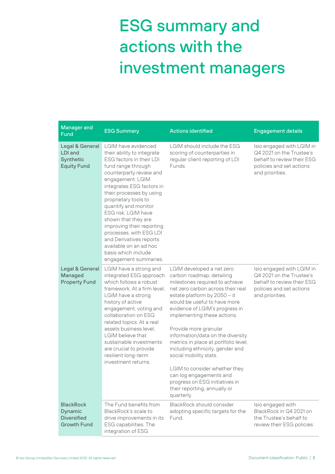# ESG summary and actions with the investment managers

| <b>Manager and</b><br>Fund                                                      | <b>ESG Summary</b>                                                                                                                                                                                                                                                                                                                                                                                                                                                     | <b>Actions identified</b>                                                                                                                                                                                                                                                                                                                                                                                                                                                                                                                                                     | <b>Engagement details</b>                                                                                                          |
|---------------------------------------------------------------------------------|------------------------------------------------------------------------------------------------------------------------------------------------------------------------------------------------------------------------------------------------------------------------------------------------------------------------------------------------------------------------------------------------------------------------------------------------------------------------|-------------------------------------------------------------------------------------------------------------------------------------------------------------------------------------------------------------------------------------------------------------------------------------------------------------------------------------------------------------------------------------------------------------------------------------------------------------------------------------------------------------------------------------------------------------------------------|------------------------------------------------------------------------------------------------------------------------------------|
| <b>Legal &amp; General</b><br><b>LDI</b> and<br>Synthetic<br><b>Equity Fund</b> | LGIM have evidenced<br>their ability to integrate<br>ESG factors in their LDI<br>fund range through<br>counterparty review and<br>engagement. LGIM<br>integrates ESG factors in<br>their processes by using<br>proprietary tools to<br>quantify and monitor<br>ESG risk. LGIM have<br>shown that they are<br>improving their reporting<br>processes, with ESG LDI<br>and Derivatives reports<br>available on an ad hoc<br>basis which include<br>engagement summaries. | LGIM should include the ESG<br>scoring of counterparties in<br>regular client reporting of LDI<br>Funds.                                                                                                                                                                                                                                                                                                                                                                                                                                                                      | Isio engaged with LGIM in<br>Q4 2021 on the Trustee's<br>behalf to review their ESG<br>policies and set actions<br>and priorities. |
| Legal & General<br><b>Managed</b><br><b>Property Fund</b>                       | LGIM have a strong and<br>integrated ESG approach<br>which follows a robust<br>framework. At a firm level.<br>LGIM have a strong<br>history of active<br>engagement, voting and<br>collaboration on ESG<br>related topics. At a real<br>assets business level.<br>LGIM believe that<br>sustainable investments<br>are crucial to provide<br>resilient long-term<br>investment returns.                                                                                 | LGIM developed a net zero<br>carbon roadmap, detailing<br>milestones required to achieve<br>net zero carbon across their real<br>estate platform by 2050 - it<br>would be useful to have more<br>evidence of LGIM's progress in<br>implementing these actions.<br>Provide more granular<br>information/data on the diversity<br>metrics in place at portfolio level,<br>including ethnicity, gender and<br>social mobility stats.<br>LGIM to consider whether they<br>can log engagements and<br>progress on ESG initiatives in<br>their reporting, annually or<br>quarterly. | Isio engaged with LGIM in<br>Q4 2021 on the Trustee's<br>behalf to review their ESG<br>policies and set actions<br>and priorities. |
| <b>BlackRock</b><br><b>Dynamic</b><br><b>Diversified</b><br><b>Growth Fund</b>  | The Fund benefits from<br>BlackRock's scale to<br>drive improvements in its<br>ESG capabilities. The<br>integration of ESG                                                                                                                                                                                                                                                                                                                                             | <b>BlackRock should consider</b><br>adopting specific targets for the<br>Fund.                                                                                                                                                                                                                                                                                                                                                                                                                                                                                                | Isio engaged with<br>BlackRock in Q4 2021 on<br>the Trustee's behalf to<br>review their ESG policies                               |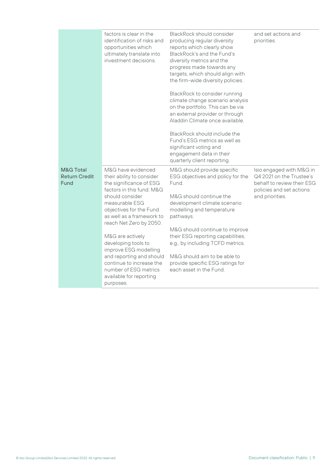|                                                      | factors is clear in the<br>identification of risks and<br>opportunities which<br>ultimately translate into<br>investment decisions.                                                                                             | <b>BlackRock should consider</b><br>producing regular diversity<br>reports which clearly show<br>BlackRock's and the Fund's<br>diversity metrics and the<br>progress made towards any<br>targets, which should align with<br>the firm-wide diversity policies. | and set actions and<br>priorities.                                                                                                |
|------------------------------------------------------|---------------------------------------------------------------------------------------------------------------------------------------------------------------------------------------------------------------------------------|----------------------------------------------------------------------------------------------------------------------------------------------------------------------------------------------------------------------------------------------------------------|-----------------------------------------------------------------------------------------------------------------------------------|
|                                                      |                                                                                                                                                                                                                                 | BlackRock to consider running<br>climate change scenario analysis<br>on the portfolio. This can be via<br>an external provider or through<br>Aladdin Climate once available.                                                                                   |                                                                                                                                   |
|                                                      |                                                                                                                                                                                                                                 | BlackRock should include the<br>Fund's ESG metrics as well as<br>significant voting and<br>engagement data in their<br>quarterly client reporting.                                                                                                             |                                                                                                                                   |
| <b>M&amp;G Total</b><br><b>Return Credit</b><br>Fund | M&G have evidenced<br>their ability to consider<br>the significance of ESG<br>factors in this fund. M&G<br>should consider<br>measurable ESG<br>objectives for the Fund<br>as well as a framework to<br>reach Net Zero by 2050. | M&G should provide specific<br>ESG objectives and policy for the<br>Fund.<br>M&G should continue the<br>development climate scenario<br>modelling and temperature<br>pathways.                                                                                 | Isio engaged with M&G in<br>Q4 2021 on the Trustee's<br>behalf to review their ESG<br>policies and set actions<br>and priorities. |
|                                                      | M&G are actively<br>developing tools to<br>improve ESG modelling<br>and reporting and should<br>continue to increase the<br>number of ESG metrics<br>available for reporting<br>purposes.                                       | M&G should continue to improve<br>their ESG reporting capabilities,<br>e.g., by including TCFD metrics.<br>M&G should aim to be able to<br>provide specific ESG ratings for<br>each asset in the Fund.                                                         |                                                                                                                                   |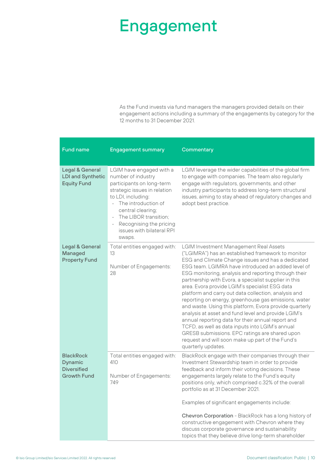### Engagement

As the Fund invests via fund managers the managers provided details on their engagement actions including a summary of the engagements by category for the 12 months to 31 December 2021.

| <b>Fund name</b>                                                               | <b>Engagement summary</b>                                                                                                                                                                                                                                                | Commentary                                                                                                                                                                                                                                                                                                                                                                                                                                                                                                                                                                                                                                                                                                                                                                                                                                       |
|--------------------------------------------------------------------------------|--------------------------------------------------------------------------------------------------------------------------------------------------------------------------------------------------------------------------------------------------------------------------|--------------------------------------------------------------------------------------------------------------------------------------------------------------------------------------------------------------------------------------------------------------------------------------------------------------------------------------------------------------------------------------------------------------------------------------------------------------------------------------------------------------------------------------------------------------------------------------------------------------------------------------------------------------------------------------------------------------------------------------------------------------------------------------------------------------------------------------------------|
| Legal & General<br><b>LDI and Synthetic</b><br><b>Equity Fund</b>              | LGIM have engaged with a<br>number of industry<br>participants on long-term<br>strategic issues in relation<br>to LDI, including:<br>The introduction of<br>central clearing;<br>The LIBOR transition;<br>Recognising the pricing<br>issues with bilateral RPI<br>swaps. | LGIM leverage the wider capabilities of the global firm<br>to engage with companies. The team also regularly<br>engage with regulators, governments, and other<br>industry participants to address long-term structural<br>issues, aiming to stay ahead of regulatory changes and<br>adopt best practice.                                                                                                                                                                                                                                                                                                                                                                                                                                                                                                                                        |
| <b>Legal &amp; General</b><br><b>Managed</b><br><b>Property Fund</b>           | Total entities engaged with:<br>13<br>Number of Engagements:<br>28                                                                                                                                                                                                       | LGIM Investment Management Real Assets<br>("LGIMRA") has an established framework to monitor<br>ESG and Climate Change issues and has a dedicated<br>ESG team. LGIMRA have introduced an added level of<br>ESG monitoring, analysis and reporting through their<br>partnership with Evora, a specialist supplier in this<br>area. Evora provide LGIM's specialist ESG data<br>platform and carry out data collection, analysis and<br>reporting on energy, greenhouse gas emissions, water<br>and waste. Using this platform, Evora provide quarterly<br>analysis at asset and fund level and provide LGIM's<br>annual reporting data for their annual report and<br>TCFD, as well as data inputs into LGIM's annual<br>GRESB submissions. EPC ratings are shared upon<br>request and will soon make up part of the Fund's<br>quarterly updates. |
| <b>BlackRock</b><br><b>Dynamic</b><br><b>Diversified</b><br><b>Growth Fund</b> | Total entities engaged with:<br>410<br>Number of Engagements:<br>749                                                                                                                                                                                                     | BlackRock engage with their companies through their<br>Investment Stewardship team in order to provide<br>feedback and inform their voting decisions. These<br>engagements largely relate to the Fund's equity<br>positions only, which comprised c.32% of the overall<br>portfolio as at 31 December 2021.<br>Examples of significant engagements include:<br>Chevron Corporation - BlackRock has a long history of<br>constructive engagement with Chevron where they<br>discuss corporate governance and sustainability<br>topics that they believe drive long-term shareholder                                                                                                                                                                                                                                                               |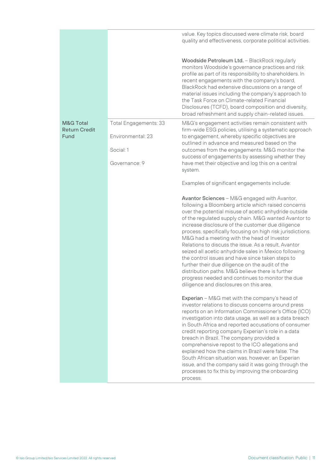|                                                      |                                            | value. Key topics discussed were climate risk, board<br>quality and effectiveness, corporate political activities.                                                                                                                                                                                                                                                                                                                                                                                                                                                                                                                                                                                                                                                           |
|------------------------------------------------------|--------------------------------------------|------------------------------------------------------------------------------------------------------------------------------------------------------------------------------------------------------------------------------------------------------------------------------------------------------------------------------------------------------------------------------------------------------------------------------------------------------------------------------------------------------------------------------------------------------------------------------------------------------------------------------------------------------------------------------------------------------------------------------------------------------------------------------|
|                                                      |                                            | Woodside Petroleum Ltd. - BlackRock regularly<br>monitors Woodside's governance practices and risk<br>profile as part of its responsibility to shareholders. In<br>recent engagements with the company's board,<br>BlackRock had extensive discussions on a range of<br>material issues including the company's approach to<br>the Task Force on Climate-related Financial<br>Disclosures (TCFD), board composition and diversity,<br>broad refreshment and supply chain-related issues.                                                                                                                                                                                                                                                                                     |
| <b>M&amp;G Total</b><br><b>Return Credit</b><br>Fund | Total Engagements: 33<br>Environmental: 23 | M&G's engagement activities remain consistent with<br>firm-wide ESG policies, utilising a systematic approach<br>to engagement, whereby specific objectives are<br>outlined in advance and measured based on the                                                                                                                                                                                                                                                                                                                                                                                                                                                                                                                                                             |
|                                                      | Social: 1<br>Governance: 9                 | outcomes from the engagements. M&G monitor the<br>success of engagements by assessing whether they<br>have met their objective and log this on a central<br>system.                                                                                                                                                                                                                                                                                                                                                                                                                                                                                                                                                                                                          |
|                                                      |                                            | Examples of significant engagements include:                                                                                                                                                                                                                                                                                                                                                                                                                                                                                                                                                                                                                                                                                                                                 |
|                                                      |                                            | <b>Avantor Sciences - M&amp;G engaged with Avantor,</b><br>following a Bloomberg article which raised concerns<br>over the potential misuse of acetic anhydride outside<br>of the regulated supply chain. M&G wanted Avantor to<br>increase disclosure of the customer due diligence<br>process, specifically focusing on high risk jurisdictions.<br>M&G had a meeting with the head of Investor<br>Relations to discuss the issue. As a result, Avantor<br>seized all acetic anhydride sales in Mexico following<br>the control issues and have since taken steps to<br>further their due diligence on the audit of the<br>distribution paths. M&G believe there is further<br>progress needed and continues to monitor the due<br>diligence and disclosures on this area. |
|                                                      |                                            | Experian - M&G met with the company's head of<br>investor relations to discuss concerns around press<br>reports on an Information Commissioner's Office (ICO)<br>investigation into data usage, as well as a data breach<br>in South Africa and reported accusations of consumer<br>credit reporting company Experian's role in a data<br>breach in Brazil. The company provided a<br>comprehensive repost to the ICO allegations and<br>explained how the claims in Brazil were false. The<br>South African situation was, however, an Experian<br>issue, and the company said it was going through the<br>processes to fix this by improving the onboarding<br>process.                                                                                                    |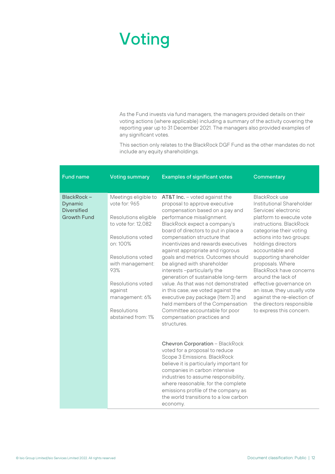### Voting

As the Fund invests via fund managers, the managers provided details on their voting actions (where applicable) including a summary of the activity covering the reporting year up to 31 December 2021. The managers also provided examples of any significant votes.

This section only relates to the BlackRock DGF Fund as the other mandates do not include any equity shareholdings.

| <b>Fund name</b>                                                         | <b>Voting summary</b>                                                                                                                                                                                                                                        | <b>Examples of significant votes</b>                                                                                                                                                                                                                                                                                                                                                                                                                                                                                                                                                                                                                                                             | Commentary                                                                                                                                                                                                                                                                                                                                                                                                                                                                |
|--------------------------------------------------------------------------|--------------------------------------------------------------------------------------------------------------------------------------------------------------------------------------------------------------------------------------------------------------|--------------------------------------------------------------------------------------------------------------------------------------------------------------------------------------------------------------------------------------------------------------------------------------------------------------------------------------------------------------------------------------------------------------------------------------------------------------------------------------------------------------------------------------------------------------------------------------------------------------------------------------------------------------------------------------------------|---------------------------------------------------------------------------------------------------------------------------------------------------------------------------------------------------------------------------------------------------------------------------------------------------------------------------------------------------------------------------------------------------------------------------------------------------------------------------|
| BlackRock-<br><b>Dynamic</b><br><b>Diversified</b><br><b>Growth Fund</b> | Meetings eligible to<br>vote for: 965<br>Resolutions eligible<br>to vote for: 12.082<br>Resolutions voted<br>on: 100%<br>Resolutions voted<br>with management:<br>93%<br>Resolutions voted<br>against<br>management: 6%<br>Resolutions<br>abstained from: 1% | AT&T Inc. - voted against the<br>proposal to approve executive<br>compensation based on a pay and<br>performance misalignment.<br>BlackRock expect a company's<br>board of directors to put in place a<br>compensation structure that<br>incentivizes and rewards executives<br>against appropriate and rigorous<br>goals and metrics. Outcomes should<br>be aligned with shareholder<br>interests-particularly the<br>generation of sustainable long-term<br>value. As that was not demonstrated<br>in this case, we voted against the<br>executive pay package (Item 3) and<br>held members of the Compensation<br>Committee accountable for poor<br>compensation practices and<br>structures. | BlackRock use<br>Institutional Shareholder<br>Services' electronic<br>platform to execute vote<br>instructions. BlackRock<br>categorise their voting<br>actions into two groups:<br>holdings directors<br>accountable and<br>supporting shareholder<br>proposals. Where<br>BlackRock have concerns<br>around the lack of<br>effective governance on<br>an issue, they usually vote<br>against the re-election of<br>the directors responsible<br>to express this concern. |
|                                                                          |                                                                                                                                                                                                                                                              | <b>Chevron Corporation - BlackRock</b><br>voted for a proposal to reduce<br>Scope 3 Emissions. BlackRock<br>believe it is particularly important for<br>companies in carbon intensive<br>industries to assume responsibility,<br>where reasonable, for the complete<br>emissions profile of the company as<br>the world transitions to a low carbon<br>economy.                                                                                                                                                                                                                                                                                                                                  |                                                                                                                                                                                                                                                                                                                                                                                                                                                                           |